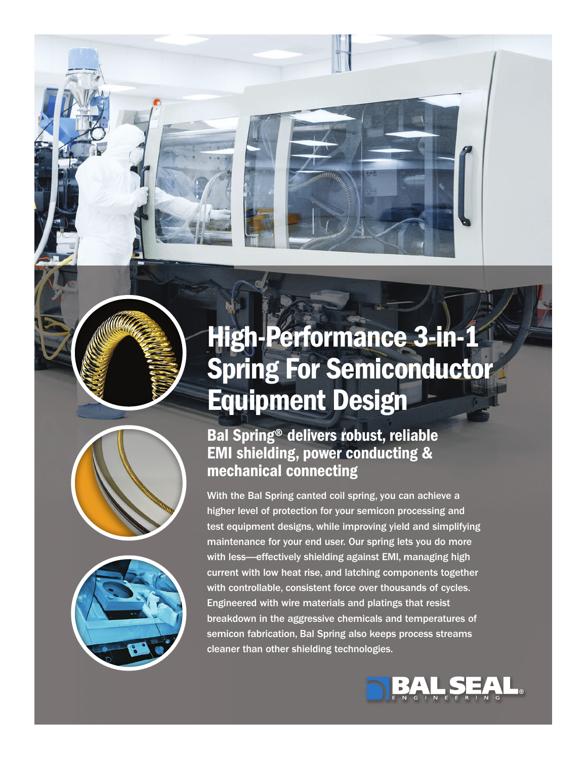# High-Performance 3-in-1 Spring For Semiconductor Equipment Design





## Bal Spring® delivers robust, reliable EMI shielding, power conducting & mechanical connecting

With the Bal Spring canted coil spring, you can achieve a higher level of protection for your semicon processing and test equipment designs, while improving yield and simplifying maintenance for your end user. Our spring lets you do more with less—effectively shielding against EMI, managing high current with low heat rise, and latching components together with controllable, consistent force over thousands of cycles. Engineered with wire materials and platings that resist breakdown in the aggressive chemicals and temperatures of semicon fabrication, Bal Spring also keeps process streams cleaner than other shielding technologies.